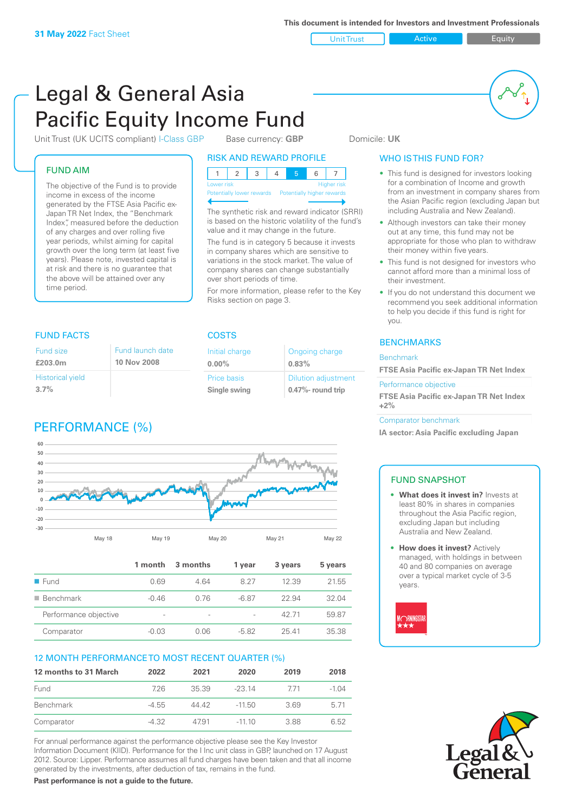Unit Trust **Active Equity** 

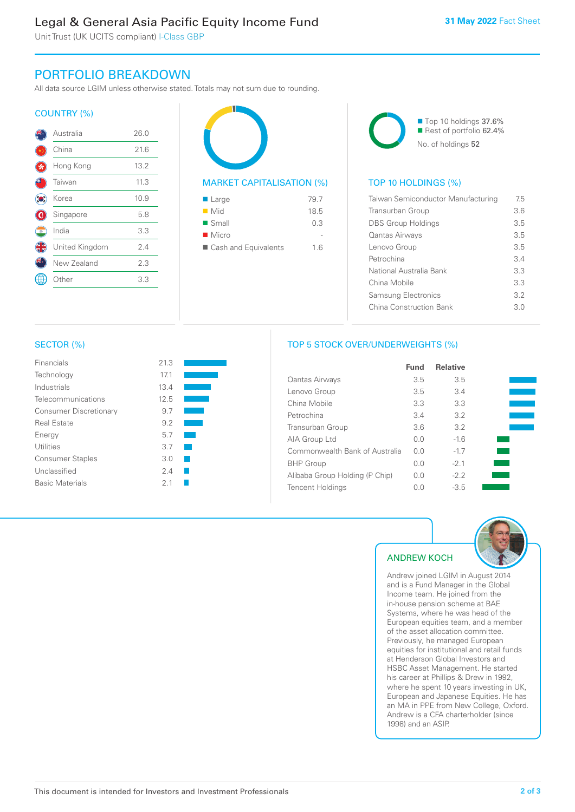# Legal & General Asia Pacific Equity Income Fund

Unit Trust (UK UCITS compliant) I-Class GBP

# PORTFOLIO BREAKDOWN

All data source LGIM unless otherwise stated. Totals may not sum due to rounding.

### COUNTRY (%)

|            | Australia      | 26.0 |  |
|------------|----------------|------|--|
|            | China          | 21.6 |  |
|            | Hong Kong      | 13.2 |  |
|            | Taiwan         | 11.3 |  |
|            | Korea          | 10.9 |  |
|            | Singapore      | 5.8  |  |
| $^{\circ}$ | India          | 3.3  |  |
|            | United Kingdom | 2.4  |  |
|            | New Zealand    | 2.3  |  |
|            | )ther          | 3.3  |  |
|            |                |      |  |



| $\blacksquare$ Small   | 0.3 |
|------------------------|-----|
| $\blacksquare$ Micro   |     |
| ■ Cash and Equivalents | 1.6 |



## TOP 10 HOLDINGS (%)

| Taiwan Semiconductor Manufacturing | 75  |
|------------------------------------|-----|
| Transurban Group                   | 3.6 |
| <b>DBS Group Holdings</b>          | 3.5 |
| Qantas Airways                     | 35  |
| Lenovo Group                       | 35  |
| Petrochina                         | 34  |
| National Australia Bank            | 33  |
| China Mobile                       | 3.3 |
| <b>Samsung Electronics</b>         | 32  |
| China Construction Bank            | 3 O |

#### SECTOR (%)

| Financials                    | 21.3 |  |
|-------------------------------|------|--|
| Technology                    | 171  |  |
| Industrials                   | 13.4 |  |
| Telecommunications            | 12.5 |  |
| <b>Consumer Discretionary</b> | 9.7  |  |
| Real Estate                   | 9.2  |  |
| Energy                        | 5.7  |  |
| Utilities                     | 3.7  |  |
| <b>Consumer Staples</b>       | 3.0  |  |
| Unclassified                  | 24   |  |
| <b>Basic Materials</b>        | 21   |  |

# TOP 5 STOCK OVER/UNDERWEIGHTS (%)

|                                | Fund | <b>Relative</b> |  |
|--------------------------------|------|-----------------|--|
| <b>Qantas Airways</b>          | 3.5  | 3.5             |  |
| Lenovo Group                   | 3.5  | 3.4             |  |
| China Mobile                   | 3.3  | 3.3             |  |
| Petrochina                     | 3.4  | 3.2             |  |
| Transurban Group               | 3.6  | 3.2             |  |
| AIA Group Ltd                  | 0.0  | $-1.6$          |  |
| Commonwealth Bank of Australia | 0.0  | $-1.7$          |  |
| <b>BHP</b> Group               | 0.0  | $-2.1$          |  |
| Alibaba Group Holding (P Chip) | 0.0  | $-2.2$          |  |
| <b>Tencent Holdings</b>        | 0.0  | $-3.5$          |  |



# ANDREW KOCH

Andrew joined LGIM in August 2014 and is a Fund Manager in the Global Income team. He joined from the in-house pension scheme at BAE Systems, where he was head of the European equities team, and a member of the asset allocation committee. Previously, he managed European equities for institutional and retail funds at Henderson Global Investors and HSBC Asset Management. He started his career at Phillips & Drew in 1992, where he spent 10 years investing in UK, European and Japanese Equities. He has an MA in PPE from New College, Oxford. Andrew is a CFA charterholder (since 1998) and an ASIP.